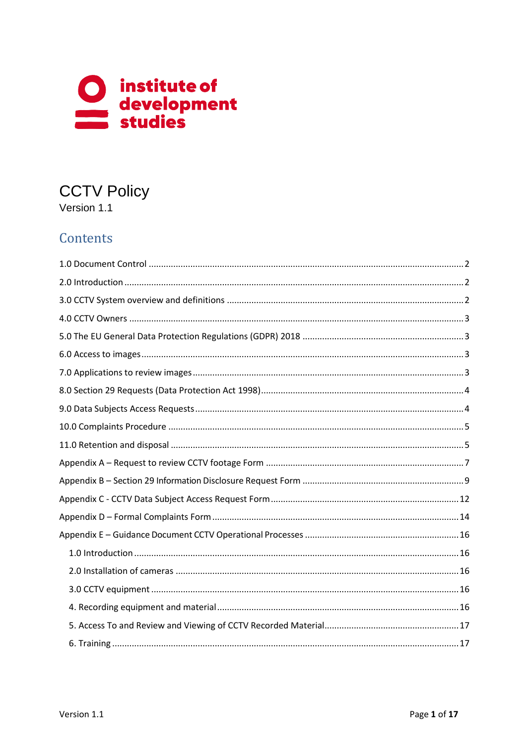

# **CCTV Policy**

Version 1.1

# Contents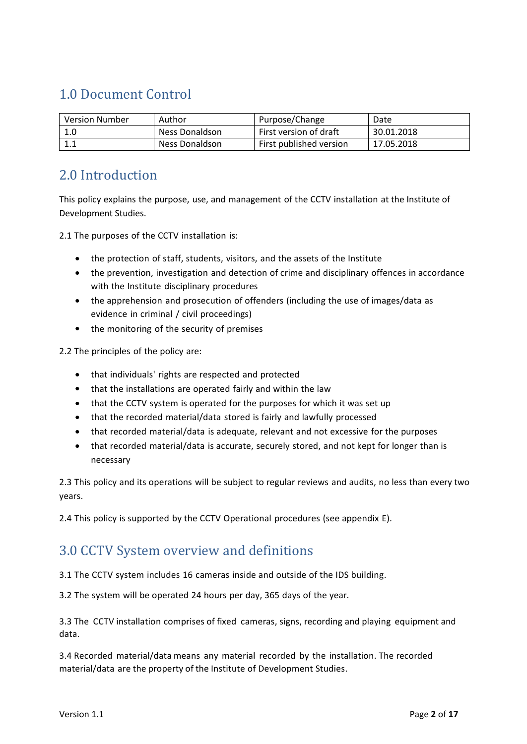# <span id="page-1-0"></span>1.0 Document Control

| <b>Version Number</b> | Author         | Purpose/Change          | Date       |
|-----------------------|----------------|-------------------------|------------|
| 1.0                   | Ness Donaldson | First version of draft  | 30.01.2018 |
|                       | Ness Donaldson | First published version | 17.05.2018 |

### <span id="page-1-1"></span>2.0 Introduction

This policy explains the purpose, use, and management of the CCTV installation at the Institute of Development Studies.

2.1 The purposes of the CCTV installation is:

- the protection of staff, students, visitors, and the assets of the Institute
- the prevention, investigation and detection of crime and disciplinary offences in accordance with the Institute disciplinary procedures
- the apprehension and prosecution of offenders (including the use of images/data as evidence in criminal / civil proceedings)
- the monitoring of the security of premises

2.2 The principles of the policy are:

- that individuals' rights are respected and protected
- that the installations are operated fairly and within the law
- that the CCTV system is operated for the purposes for which it was set up
- that the recorded material/data stored is fairly and lawfully processed
- that recorded material/data is adequate, relevant and not excessive for the purposes
- that recorded material/data is accurate, securely stored, and not kept for longer than is necessary

2.3 This policy and its operations will be subject to regular reviews and audits, no less than every two years.

2.4 This policy is supported by the CCTV Operational procedures (see appendix E).

### <span id="page-1-2"></span>3.0 CCTV System overview and definitions

3.1 The CCTV system includes 16 cameras inside and outside of the IDS building.

3.2 The system will be operated 24 hours per day, 365 days of the year.

3.3 The CCTV installation comprises of fixed cameras, signs, recording and playing equipment and data.

3.4 Recorded material/data means any material recorded by the installation. The recorded material/data are the property of the Institute of Development Studies.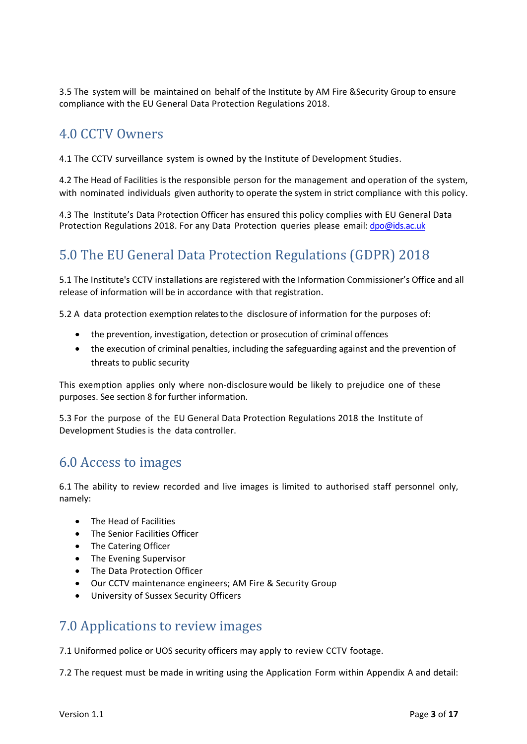3.5 The system will be maintained on behalf of the Institute by AM Fire &Security Group to ensure compliance with the EU General Data Protection Regulations 2018.

### <span id="page-2-0"></span>4.0 CCTV Owners

4.1 The CCTV surveillance system is owned by the Institute of Development Studies.

4.2 The Head of Facilities is the responsible person for the management and operation of the system, with nominated individuals given authority to operate the system in strict compliance with this policy.

4.3 The Institute's Data Protection Officer has ensured this policy complies with EU General Data Protection Regulations 2018. For any Data Protection queries please email: [dpo@ids.ac.uk](mailto:dpo@ids.ac.uk)

# <span id="page-2-1"></span>5.0 The EU General Data Protection Regulations (GDPR) 2018

5.1 The Institute's CCTV installations are registered with the [Information Commissioner's Office](https://ico.org.uk/for-organisations/guide-to-data-protection/cctv/) and all release of information will be in accordance with that registration.

5.2 A data protection exemption relates to the disclosure of information for the purposes of:

- the prevention, investigation, detection or prosecution of criminal offences
- the execution of criminal penalties, including the safeguarding against and the prevention of threats to public security

This exemption applies only where non-disclosure would be likely to prejudice one of these purposes. See section 8 for further information.

5.3 For the purpose of the EU General Data Protection Regulations 2018 the Institute of Development Studies is the data controller.

### <span id="page-2-2"></span>6.0 Access to images

6.1 The ability to review recorded and live images is limited to authorised staff personnel only, namely:

- The Head of Facilities
- The Senior Facilities Officer
- The Catering Officer
- The Evening Supervisor
- The Data Protection Officer
- Our CCTV maintenance engineers; AM Fire & Security Group
- University of Sussex Security Officers

### <span id="page-2-3"></span>7.0 Applications to review images

7.1 Uniformed police or UOS security officers may apply to review CCTV footage.

7.2 The request must be made in writing using the Application Form within Appendix A and detail: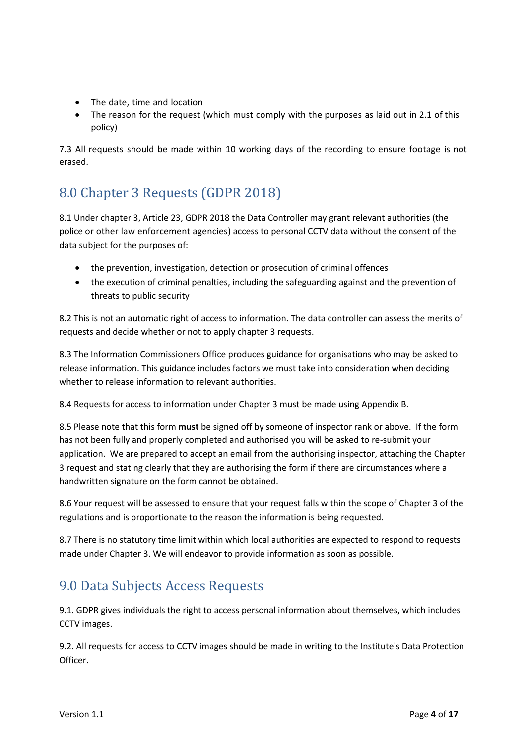- The date, time and location
- The reason for the request (which must comply with the purposes as laid out in 2.1 of this policy)

7.3 All requests should be made within 10 working days of the recording to ensure footage is not erased.

# <span id="page-3-0"></span>8.0 Chapter 3 Requests (GDPR 2018)

8.1 Under chapter 3, Article 23, GDPR 2018 the Data Controller may grant relevant authorities (the police or other law enforcement agencies) access to personal CCTV data without the consent of the data subject for the purposes of:

- the prevention, investigation, detection or prosecution of criminal offences
- the execution of criminal penalties, including the safeguarding against and the prevention of threats to public security

8.2 This is not an automatic right of access to information. The data controller can assess the merits of requests and decide whether or not to apply chapter 3 requests.

8.3 The Information Commissioners Office produces guidance for organisations who may be asked to release information. This guidance includes factors we must take into consideration when deciding whether to release information to relevant authorities.

8.4 Requests for access to information under Chapter 3 must be made using Appendix B.

8.5 Please note that this form **must** be signed off by someone of inspector rank or above. If the form has not been fully and properly completed and authorised you will be asked to re-submit your application. We are prepared to accept an email from the authorising inspector, attaching the Chapter 3 request and stating clearly that they are authorising the form if there are circumstances where a handwritten signature on the form cannot be obtained.

8.6 Your request will be assessed to ensure that your request falls within the scope of Chapter 3 of the regulations and is proportionate to the reason the information is being requested.

8.7 There is no statutory time limit within which local authorities are expected to respond to requests made under Chapter 3. We will endeavor to provide information as soon as possible.

# <span id="page-3-1"></span>9.0 Data Subjects Access Requests

9.1. GDPR gives individuals the right to access personal information about themselves, which includes CCTV images.

9.2. All requests for access to CCTV images should be made in writing to the Institute's Data Protection Officer.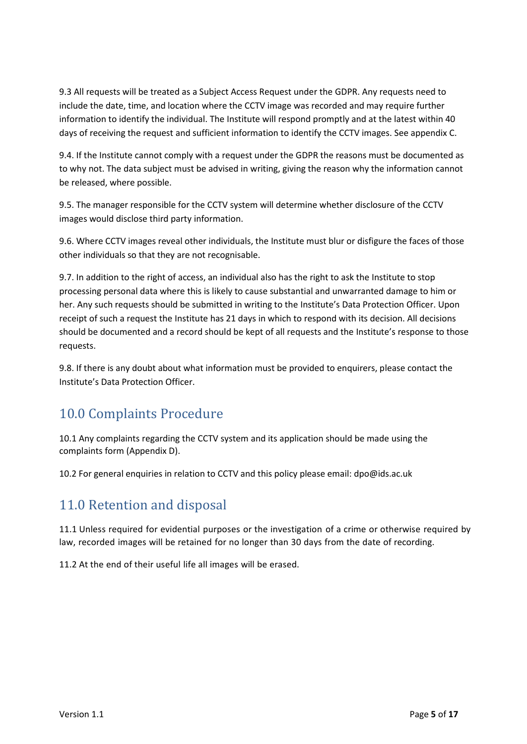9.3 All requests will be treated as a Subject Access Request under the GDPR. Any requests need to include the date, time, and location where the CCTV image was recorded and may require further information to identify the individual. The Institute will respond promptly and at the latest within 40 days of receiving the request and sufficient information to identify the CCTV images. See appendix C.

9.4. If the Institute cannot comply with a request under the GDPR the reasons must be documented as to why not. The data subject must be advised in writing, giving the reason why the information cannot be released, where possible.

9.5. The manager responsible for the CCTV system will determine whether disclosure of the CCTV images would disclose third party information.

9.6. Where CCTV images reveal other individuals, the Institute must blur or disfigure the faces of those other individuals so that they are not recognisable.

9.7. In addition to the right of access, an individual also has the right to ask the Institute to stop processing personal data where this is likely to cause substantial and unwarranted damage to him or her. Any such requests should be submitted in writing to the Institute's Data Protection Officer. Upon receipt of such a request the Institute has 21 days in which to respond with its decision. All decisions should be documented and a record should be kept of all requests and the Institute's response to those requests.

9.8. If there is any doubt about what information must be provided to enquirers, please contact the Institute's Data Protection Officer.

# <span id="page-4-0"></span>10.0 Complaints Procedure

10.1 Any complaints regarding the CCTV system and its application should be made using the complaints form (Appendix D).

<span id="page-4-1"></span>10.2 For general enquiries in relation to CCTV and this policy please email: [dpo@ids.ac.uk](mailto:dpo@ids.ac.uk)

### 11.0 Retention and disposal

11.1 Unless required for evidential purposes or the investigation of a crime or otherwise required by law, recorded images will be retained for no longer than 30 days from the date of recording.

11.2 At the end of their useful life all images will be erased.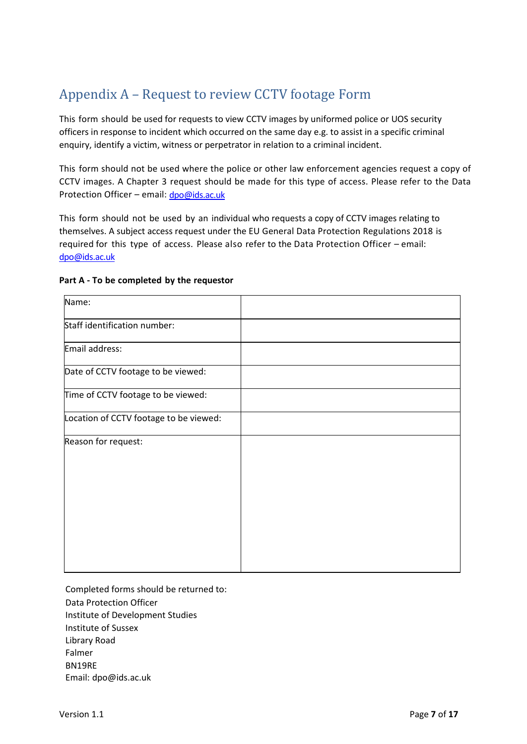# <span id="page-6-0"></span>Appendix A – Request to review CCTV footage Form

This form should be used for requests to view CCTV images by uniformed police or UOS security officers in response to incident which occurred on the same day e.g. to assist in a specific criminal enquiry, identify a victim, witness or perpetrator in relation to a criminal incident.

This form should not be used where the police or other law enforcement agencies request a copy of CCTV images. A Chapter 3 request should be made for this type of access. Please refer to the Data Protection Officer – email: [dpo@ids.ac.uk](mailto:dpo@ids.ac.uk)

This form should not be used by an individual who requests a copy of CCTV images relating to themselves. A subject access request under the EU General Data Protection Regulations 2018 is required for this type of access. Please also refer to the Data Protection Officer – email: [dpo@ids.ac.uk](mailto:dpo@ids.ac.uk)

| Name:                                  |  |
|----------------------------------------|--|
| Staff identification number:           |  |
| Email address:                         |  |
| Date of CCTV footage to be viewed:     |  |
| Time of CCTV footage to be viewed:     |  |
| Location of CCTV footage to be viewed: |  |
| Reason for request:                    |  |
|                                        |  |
|                                        |  |
|                                        |  |
|                                        |  |

#### **Part A - To be completed by the requestor**

Completed forms should be returned to:

Data Protection Officer

Institute of Development Studies

Institute of Sussex

Library Road

Falmer

BN19RE

Email: [dpo@ids.ac.uk](mailto:dpo@ids.ac.uk)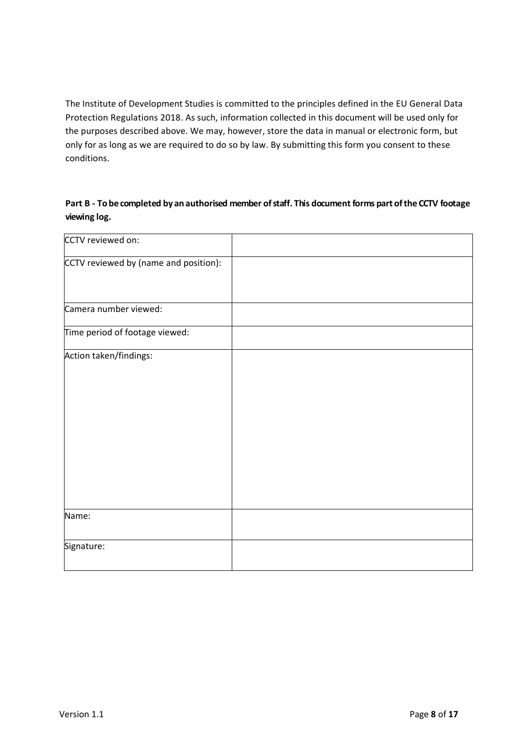The Institute of Development Studies is committed to the principles defined in the EU General Data Protection Regulations 2018. As such, information collected in this document will be used only for the purposes described above. We may, however, store the data in manual or electronic form, but only for as long as we are required to do so by law. By submitting this form you consent to these conditions.

**Part B - To be completed by an authorised member ofstaff. This document forms part ofthe CCTV footage viewing log.**

| CCTV reviewed on:                     |  |
|---------------------------------------|--|
| CCTV reviewed by (name and position): |  |
| Camera number viewed:                 |  |
| Time period of footage viewed:        |  |
| Action taken/findings:                |  |
| Name:                                 |  |
| Signature:                            |  |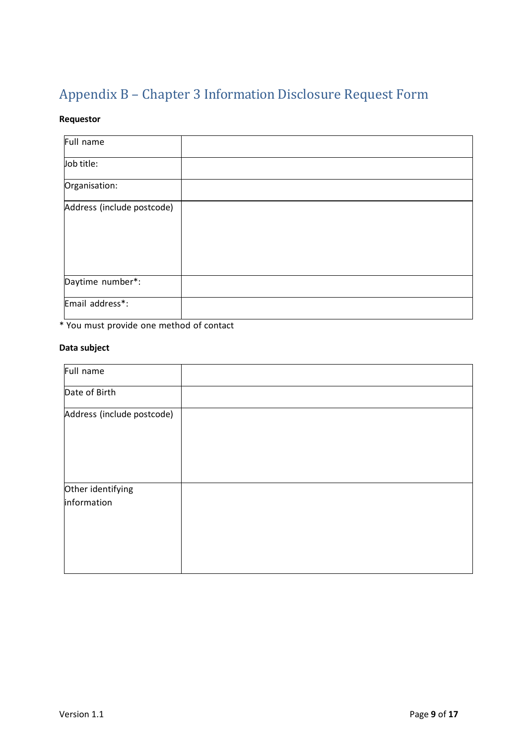# <span id="page-8-0"></span>Appendix B – Chapter 3 Information Disclosure Request Form

### **Requestor**

| Full name                  |  |
|----------------------------|--|
| Job title:                 |  |
| Organisation:              |  |
| Address (include postcode) |  |
| Daytime number*:           |  |
| Email address*:            |  |

\* You must provide one method of contact

#### **Data subject**

| Full name                  |  |
|----------------------------|--|
| Date of Birth              |  |
| Address (include postcode) |  |
| Other identifying          |  |
| information                |  |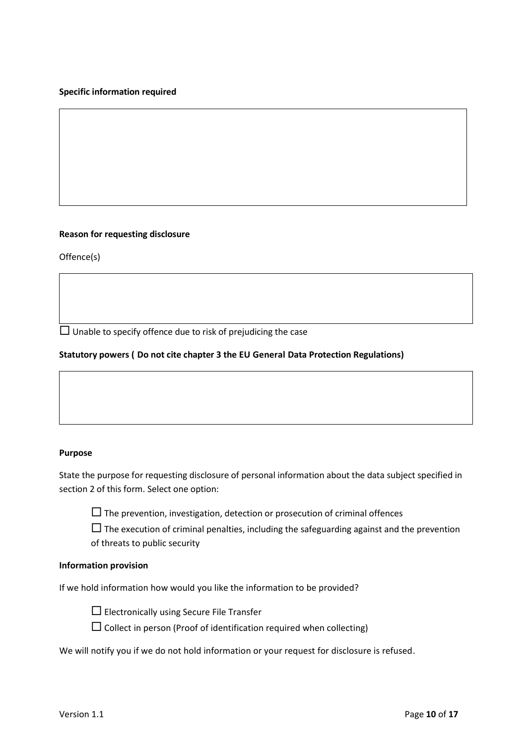#### **Specific information required**

#### **Reason for requesting disclosure**

Offence(s)

 $\Box$  Unable to specify offence due to risk of prejudicing the case

#### **Statutory powers ( Do not cite chapter 3 the EU General Data Protection Regulations)**

#### **Purpose**

State the purpose for requesting disclosure of personal information about the data subject specified in section 2 of this form. Select one option:

 $\Box$  The prevention, investigation, detection or prosecution of criminal offences

 $\Box$  The execution of criminal penalties, including the safeguarding against and the prevention of threats to public security

#### **Information provision**

If we hold information how would you like the information to be provided?



 $\Box$  Electronically using Secure File Transfer

 $\square$  Collect in person (Proof of identification required when collecting)

We will notify you if we do not hold information or your request for disclosure is refused.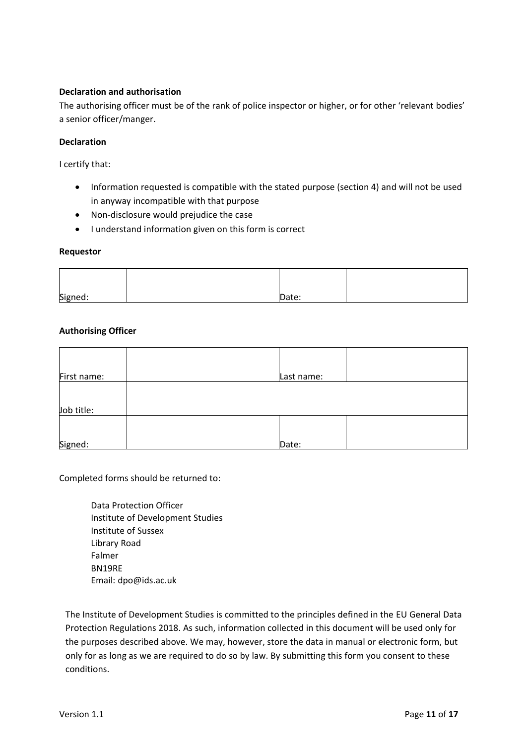#### **Declaration and authorisation**

The authorising officer must be of the rank of police inspector or higher, or for other 'relevant bodies' a senior officer/manger.

#### **Declaration**

I certify that:

- Information requested is compatible with the stated purpose (section 4) and will not be used in anyway incompatible with that purpose
- Non-disclosure would prejudice the case
- I understand information given on this form is correct

#### **Requestor**

| Signed: | Date: |  |
|---------|-------|--|

#### **Authorising Officer**

| First name: | Last name: |  |
|-------------|------------|--|
| Job title:  |            |  |
| Signed:     | Date:      |  |

Completed forms should be returned to:

Data Protection Officer Institute of Development Studies Institute of Sussex Library Road Falmer BN19RE Email: [dpo@ids.ac.uk](mailto:dpo@ids.ac.uk)

The Institute of Development Studies is committed to the principles defined in the EU General Data Protection Regulations 2018. As such, information collected in this document will be used only for the purposes described above. We may, however, store the data in manual or electronic form, but only for as long as we are required to do so by law. By submitting this form you consent to these conditions.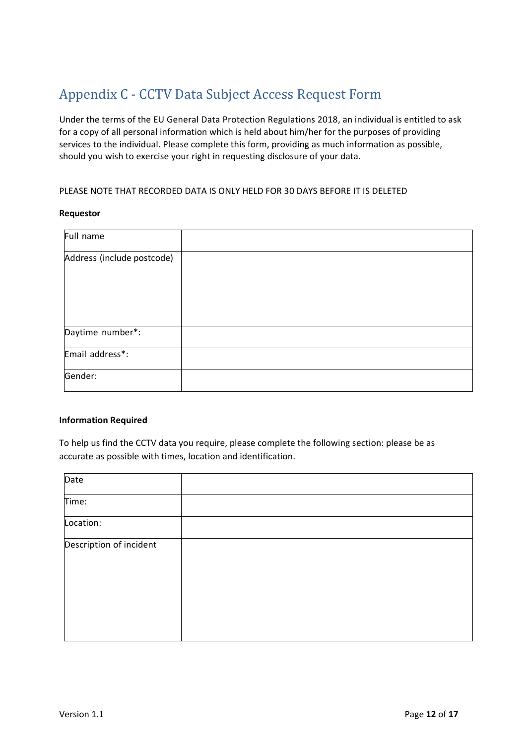# <span id="page-11-0"></span>Appendix C - CCTV Data Subject Access Request Form

Under the terms of the EU General Data Protection Regulations 2018, an individual is entitled to ask for a copy of all personal information which is held about him/her for the purposes of providing services to the individual. Please complete this form, providing as much information as possible, should you wish to exercise your right in requesting disclosure of your data.

#### PLEASE NOTE THAT RECORDED DATA IS ONLY HELD FOR 30 DAYS BEFORE IT IS DELETED

#### **Requestor**

| Full name                  |  |
|----------------------------|--|
| Address (include postcode) |  |
|                            |  |
| Daytime number*:           |  |
| Email address*:            |  |
| Gender:                    |  |

#### **Information Required**

To help us find the CCTV data you require, please complete the following section: please be as accurate as possible with times, location and identification.

| Date                    |  |
|-------------------------|--|
| Time:                   |  |
| Location:               |  |
| Description of incident |  |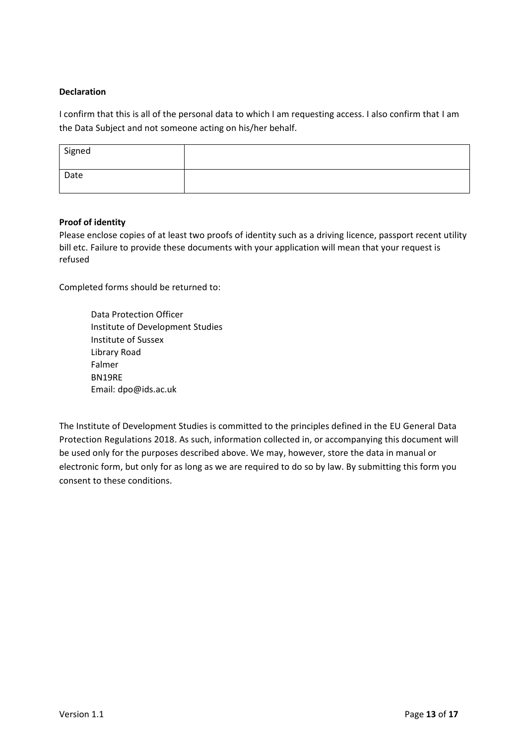#### **Declaration**

I confirm that this is all of the personal data to which I am requesting access. I also confirm that I am the Data Subject and not someone acting on his/her behalf.

| Signed |  |
|--------|--|
| Date   |  |

#### **Proof of identity**

Please enclose copies of at least two proofs of identity such as a driving licence, passport recent utility bill etc. Failure to provide these documents with your application will mean that your request is refused

Completed forms should be returned to:

Data Protection Officer Institute of Development Studies Institute of Sussex Library Road Falmer BN19RE Email: [dpo@ids.ac.uk](mailto:dpo@ids.ac.uk)

The Institute of Development Studies is committed to the principles defined in the EU General Data Protection Regulations 2018. As such, information collected in, or accompanying this document will be used only for the purposes described above. We may, however, store the data in manual or electronic form, but only for as long as we are required to do so by law. By submitting this form you consent to these conditions.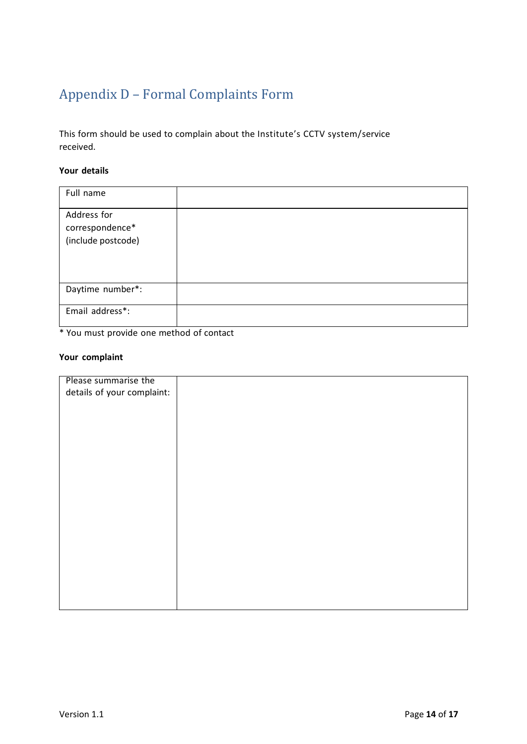# <span id="page-13-0"></span>Appendix D – Formal Complaints Form

This form should be used to complain about the Institute's CCTV system/service received.

#### **Your details**

| Full name          |  |
|--------------------|--|
| Address for        |  |
| correspondence*    |  |
| (include postcode) |  |
|                    |  |
| Daytime number*:   |  |
| Email address*:    |  |

\* You must provide one method of contact

#### **Your complaint**

| Please summarise the       |  |
|----------------------------|--|
| details of your complaint: |  |
|                            |  |
|                            |  |
|                            |  |
|                            |  |
|                            |  |
|                            |  |
|                            |  |
|                            |  |
|                            |  |
|                            |  |
|                            |  |
|                            |  |
|                            |  |
|                            |  |
|                            |  |
|                            |  |
|                            |  |
|                            |  |
|                            |  |
|                            |  |
|                            |  |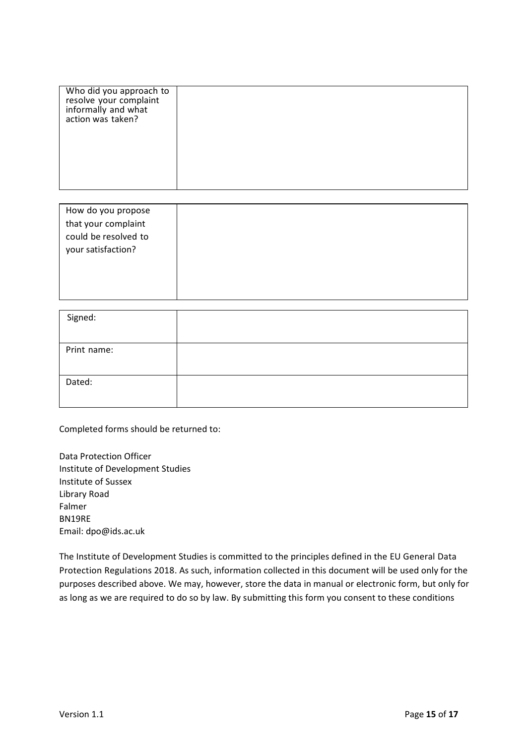| Who did you approach to<br>resolve your complaint<br>informally and what<br>action was taken? |  |
|-----------------------------------------------------------------------------------------------|--|
|                                                                                               |  |

| How do you propose   |  |  |
|----------------------|--|--|
| that your complaint  |  |  |
| could be resolved to |  |  |
| your satisfaction?   |  |  |
|                      |  |  |
|                      |  |  |
|                      |  |  |

| Signed:     |  |
|-------------|--|
| Print name: |  |
| Dated:      |  |

Completed forms should be returned to:

Data Protection Officer Institute of Development Studies Institute of Sussex Library Road Falmer BN19RE Email: [dpo@ids.ac.uk](mailto:dpo@ids.ac.uk)

The Institute of Development Studies is committed to the principles defined in the EU General Data Protection Regulations 2018. As such, information collected in this document will be used only for the purposes described above. We may, however, store the data in manual or electronic form, but only for as long as we are required to do so by law. By submitting this form you consent to these conditions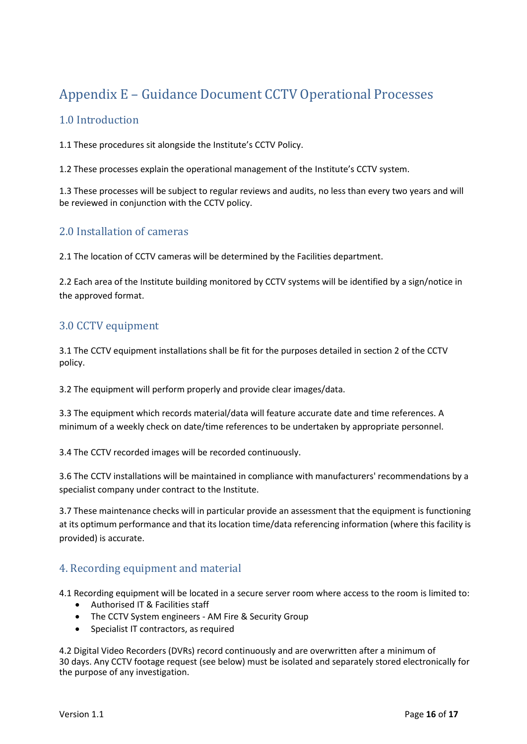# <span id="page-15-0"></span>Appendix E – Guidance Document CCTV Operational Processes

### <span id="page-15-1"></span>1.0 Introduction

1.1 These procedures sit alongside the Institute's CCTV Policy.

1.2 These processes explain the operational management of the Institute's CCTV system.

1.3 These processes will be subject to regular reviews and audits, no less than every two years and will be reviewed in conjunction with the CCTV policy.

### <span id="page-15-2"></span>2.0 Installation of cameras

2.1 The location of CCTV cameras will be determined by the Facilities department.

2.2 Each area of the Institute building monitored by CCTV systems will be identified by a sign/notice in the approved format.

### <span id="page-15-3"></span>3.0 CCTV equipment

3.1 The CCTV equipment installations shall be fit for the purposes detailed in section 2 of the CCTV policy.

3.2 The equipment will perform properly and provide clear images/data.

3.3 The equipment which records material/data will feature accurate date and time references. A minimum of a weekly check on date/time references to be undertaken by appropriate personnel.

3.4 The CCTV recorded images will be recorded continuously.

3.6 The CCTV installations will be maintained in compliance with manufacturers' recommendations by a specialist company under contract to the Institute.

3.7 These maintenance checks will in particular provide an assessment that the equipment is functioning at its optimum performance and that its location time/data referencing information (where this facility is provided) is accurate.

### <span id="page-15-4"></span>4. Recording equipment and material

4.1 Recording equipment will be located in a secure server room where access to the room is limited to:

- Authorised IT & Facilities staff
- The CCTV System engineers AM Fire & Security Group
- Specialist IT contractors, as required

4.2 Digital Video Recorders (DVRs) record continuously and are overwritten after a minimum of 30 days. Any CCTV footage request (see below) must be isolated and separately stored electronically for the purpose of any investigation.